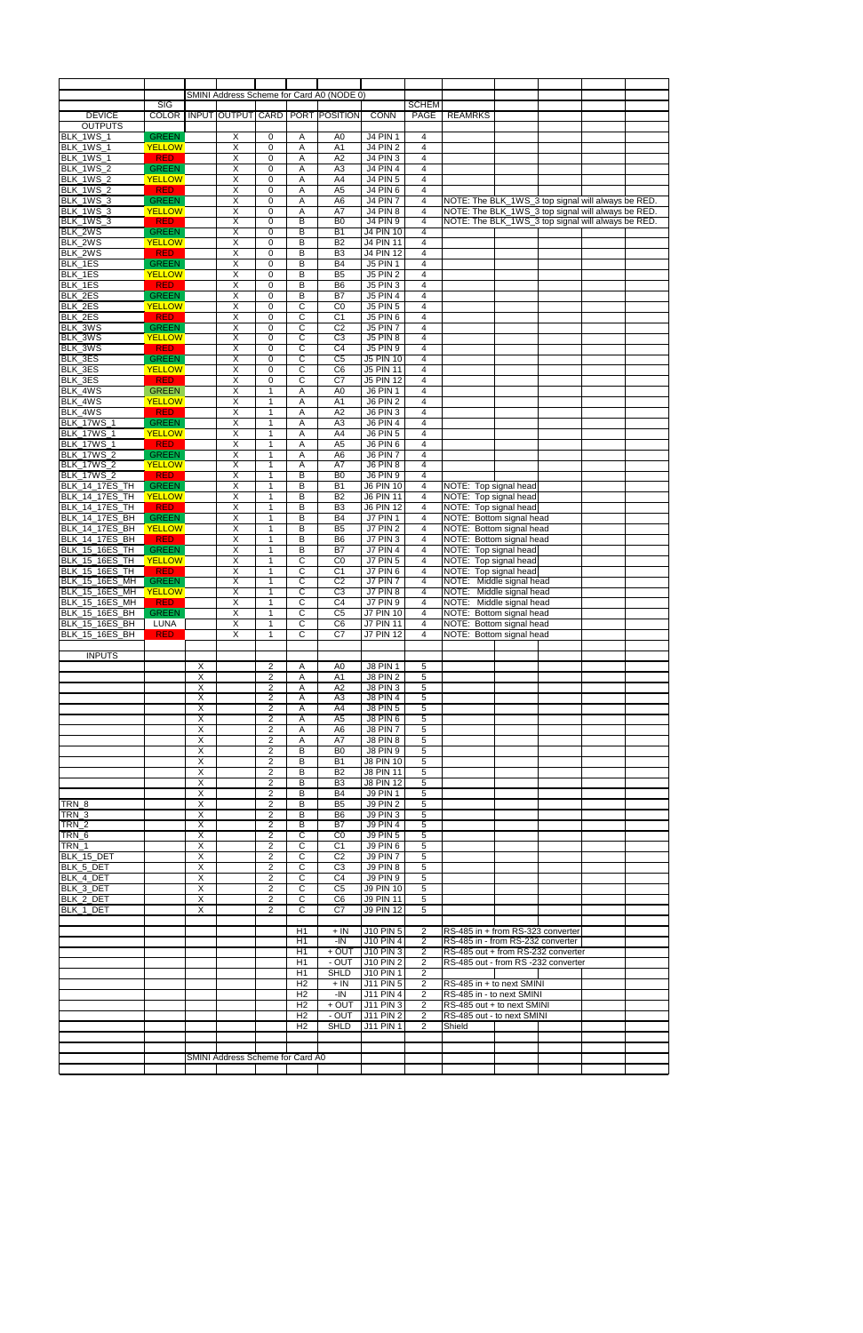|                                        |                             |                                           |                                  |                                         |                                  | SMINI Address Scheme for Card A0 (NODE 0) |                                    |                                  |                                                          |  |
|----------------------------------------|-----------------------------|-------------------------------------------|----------------------------------|-----------------------------------------|----------------------------------|-------------------------------------------|------------------------------------|----------------------------------|----------------------------------------------------------|--|
|                                        | $\overline{\text{SIG}}$     |                                           |                                  |                                         |                                  |                                           |                                    | <b>SCHEM</b>                     |                                                          |  |
| <b>DEVICE</b>                          | <b>COLOR</b>                |                                           | INPUT OUTPUT CARD                |                                         |                                  | <b>PORT POSITION</b>                      | <b>CONN</b>                        | PAGE                             | <b>REAMRKS</b>                                           |  |
| <b>OUTPUTS</b>                         |                             |                                           |                                  |                                         |                                  |                                           |                                    |                                  |                                                          |  |
| BLK_1WS_1                              | <b>GREEN</b>                |                                           | $\overline{X}$<br>$\overline{X}$ | 0                                       | Α                                | A <sub>0</sub>                            | <b>J4 PIN 1</b>                    | 4<br>$\overline{4}$              |                                                          |  |
| BLK_1WS_1                              | <b>YELLOW</b><br><b>RED</b> |                                           | $\pmb{\times}$                   | 0<br>$\mathbf 0$                        | Α<br>Α                           | A1<br>A2                                  | <b>J4 PIN 2</b><br><b>J4 PIN 3</b> | 4                                |                                                          |  |
| BLK_1WS_1<br>BLK_1WS_2                 | <b>GREEN</b>                |                                           | $\overline{X}$                   | 0                                       |                                  | A <sub>3</sub>                            | <b>J4 PIN 4</b>                    | $\overline{4}$                   |                                                          |  |
| BLK_1WS_2                              | <b>YELLOW</b>               |                                           | $\pmb{\times}$                   | 0                                       | Α<br>Α                           | A4                                        | <b>J4 PIN 5</b>                    | $\overline{4}$                   |                                                          |  |
| BLK_1WS_2                              | <b>RED</b>                  |                                           | $\pmb{\times}$                   | $\mathbf 0$                             | Α                                | A <sub>5</sub>                            | <b>J4 PIN 6</b>                    | $\overline{4}$                   |                                                          |  |
| BLK_1WS_3                              | <b>GREEN</b>                |                                           | $\pmb{\times}$                   | 0                                       | Α                                | A <sub>6</sub>                            | <b>J4 PIN 7</b>                    | $\overline{4}$                   | NOTE: The BLK_1WS_3 top signal will always be RED.       |  |
| <b>BLK_1WS_3</b>                       | <b>YELLOW</b>               |                                           | $\overline{\mathsf{x}}$          | $\mathbf 0$                             | A                                | A7                                        | <b>J4 PIN 8</b>                    | 4                                | NOTE: The BLK_1WS_3 top signal will always be RED.       |  |
| BLK_1WS_3                              | <b>RED</b>                  |                                           | X                                | 0                                       | B                                | B <sub>0</sub>                            | <b>J4 PIN 9</b>                    | 4                                | NOTE: The BLK_1WS_3 top signal will always be RED.       |  |
| BLK_2WS                                | <b>GREEN</b>                |                                           | $\overline{\mathsf{x}}$          | $\mathbf 0$                             | B                                | <b>B1</b>                                 | <b>J4 PIN 10</b>                   | $\overline{4}$                   |                                                          |  |
| BLK_2WS                                | <b>YELLOW</b>               |                                           | $\overline{\mathsf{x}}$          | $\mathbf 0$                             | B                                | B <sub>2</sub>                            | <b>J4 PIN 11</b>                   | $\overline{4}$                   |                                                          |  |
| BLK_2WS                                | <b>RED</b>                  |                                           | $\overline{\mathsf{x}}$          | $\mathbf 0$                             | B                                | B <sub>3</sub>                            | <b>J4 PIN 12</b>                   | 4                                |                                                          |  |
| BLK_1ES                                | <b>GREEN</b>                |                                           | $\overline{X}$                   | $\mathbf 0$                             | B                                | <b>B4</b>                                 | <b>J5 PIN 1</b>                    | $\overline{4}$                   |                                                          |  |
| BLK_1ES                                | <b>YELLOW</b>               |                                           | $\overline{X}$                   | 0                                       | B                                | B <sub>5</sub>                            | <b>J5 PIN 2</b>                    | 4                                |                                                          |  |
| BLK_1ES                                | <b>RED</b>                  |                                           | $\overline{X}$                   | $\mathbf 0$                             | B                                | B <sub>6</sub>                            | <b>J5 PIN 3</b>                    | $\overline{4}$                   |                                                          |  |
| BLK_2ES                                | <b>GREEN</b>                |                                           | $\pmb{\times}$                   | $\mathbf 0$                             | B                                | B7                                        | <b>J5 PIN 4</b>                    | $\overline{4}$                   |                                                          |  |
| BLK_2ES                                | <b>YELLOW</b>               |                                           | $\overline{X}$                   | 0                                       | С                                | C <sub>0</sub>                            | <b>J5 PIN 5</b>                    | $\overline{4}$                   |                                                          |  |
| BLK_2ES                                | <b>RED</b>                  |                                           | $\pmb{\times}$                   | 0                                       | C                                | C <sub>1</sub>                            | <b>J5 PIN 6</b>                    | 4                                |                                                          |  |
| BLK_3WS                                | <b>GREEN</b>                |                                           | $\overline{\mathsf{X}}$          | 0                                       | C                                | C <sub>2</sub>                            | <b>J5 PIN 7</b>                    | $\overline{4}$                   |                                                          |  |
| BLK_3WS                                | <b>YELLOW</b>               |                                           | X                                | $\mathbf 0$                             | C                                | C <sub>3</sub>                            | <b>J5 PIN 8</b>                    | $\overline{4}$                   |                                                          |  |
| BLK_3WS                                | <b>RED</b>                  |                                           | $\overline{X}$                   | $\mathbf 0$                             | C                                | $\overline{C4}$                           | <b>J5 PIN 9</b>                    | $\overline{4}$                   |                                                          |  |
| BLK_3ES                                | <b>GREEN</b>                |                                           | X                                | 0                                       | C                                | C <sub>5</sub>                            | J5 PIN 10                          | 4                                |                                                          |  |
| BLK_3ES                                | <b>YELLOW</b>               |                                           | $\overline{X}$                   | 0                                       | $\overline{C}$                   | $\overline{C6}$                           | <b>J5 PIN 11</b>                   | $\overline{4}$                   |                                                          |  |
| BLK_3ES                                | <b>RED</b>                  |                                           | $\overline{\mathsf{x}}$          | $\mathbf 0$                             | C                                | $\overline{C7}$                           | <b>J5 PIN 12</b>                   | 4                                |                                                          |  |
| BLK 4WS                                | <b>GREEN</b>                |                                           | $\overline{\mathsf{x}}$          | $\mathbf{1}$                            | Α                                | A <sub>0</sub>                            | <b>J6 PIN 1</b>                    | $\overline{4}$                   |                                                          |  |
| BLK_4WS                                | <b>YELLOW</b>               |                                           | $\overline{\mathsf{x}}$          | $\mathbf{1}$                            | Α                                | A1                                        | <b>J6 PIN 2</b>                    | 4                                |                                                          |  |
| BLK_4WS                                | <b>RED</b>                  |                                           | $\overline{X}$                   | $\mathbf{1}$                            | Α                                | $\overline{A2}$                           | J6 PIN 3                           | $\overline{4}$                   |                                                          |  |
| <b>BLK_17WS_1</b>                      | <b>GREEN</b>                |                                           | $\overline{X}$                   | 1                                       | Α                                | A <sub>3</sub>                            | <b>J6 PIN 4</b>                    | $\overline{4}$                   |                                                          |  |
| <b>BLK_17WS_1</b>                      | <b>YELLOW</b>               |                                           | $\overline{X}$                   | $\mathbf{1}$                            | Α                                | A4                                        | <b>J6 PIN 5</b>                    | $\overline{4}$                   |                                                          |  |
| <b>BLK_17WS_1</b>                      | <b>RED</b><br><b>GREEN</b>  |                                           | $\overline{X}$<br>$\overline{X}$ | 1<br>$\mathbf{1}$                       | Α<br>Α                           | A <sub>5</sub>                            | J6 PIN 6<br>J6 PIN 7               | 4<br>$\overline{4}$              |                                                          |  |
| <b>BLK_17WS_2</b><br><b>BLK 17WS 2</b> | <b>YELLOW</b>               |                                           | $\pmb{\times}$                   | $\mathbf{1}$                            | Α                                | A <sub>6</sub><br>A7                      | J6 PIN 8                           | $\overline{4}$                   |                                                          |  |
| <b>BLK_17WS_2</b>                      | <b>RED</b>                  |                                           | $\overline{\mathsf{x}}$          | 1                                       | B                                | B <sub>0</sub>                            | <b>J6 PIN 9</b>                    | $\overline{4}$                   |                                                          |  |
| <b>BLK_14_17ES_TH</b>                  | <b>GREEN</b>                |                                           | $\overline{\mathsf{x}}$          | 1                                       | B                                | <b>B1</b>                                 | <b>J6 PIN 10</b>                   | 4                                | NOTE: Top signal head                                    |  |
| <b>BLK_14_17ES_TH</b>                  | <b>YELLOW</b>               |                                           | $\overline{X}$                   | 1                                       | B                                | <b>B2</b>                                 | <b>J6 PIN 11</b>                   | $\overline{4}$                   | NOTE: Top signal head                                    |  |
| <b>BLK_14_17ES_TH</b>                  | <b>RED</b>                  |                                           | X                                | $\mathbf{1}$                            | B                                | B <sub>3</sub>                            | <b>J6 PIN 12</b>                   | $\overline{4}$                   | NOTE: Top signal head                                    |  |
| <b>BLK_14_17ES_BH</b>                  | <b>GREEN</b>                |                                           | $\overline{\mathsf{x}}$          | $\mathbf{1}$                            | B                                | <b>B4</b>                                 | <b>J7 PIN 1</b>                    | $\overline{4}$                   | NOTE: Bottom signal head                                 |  |
| BLK_14_17ES_BH                         | <b>YELLOW</b>               |                                           | X                                | 1                                       | B                                | B <sub>5</sub>                            | <b>J7 PIN 2</b>                    | $\overline{4}$                   | NOTE: Bottom signal head                                 |  |
| BLK_14_17ES_BH                         | <b>RED</b>                  |                                           | $\overline{X}$                   | $\mathbf{1}$                            | B                                | B <sub>6</sub>                            | <b>J7 PIN 3</b>                    | 4                                | NOTE: Bottom signal head                                 |  |
| BLK_15_16ES_TH                         | <b>GREEN</b>                |                                           | $\overline{\mathsf{X}}$          | $\mathbf{1}$                            | B                                | B7                                        | <b>J7 PIN 4</b>                    | $\overline{4}$                   | NOTE: Top signal head                                    |  |
| BLK_15_16ES_TH                         | <b>YELLOW</b>               |                                           | $\pmb{\times}$                   | $\mathbf{1}$                            | C                                | CO                                        | $J7$ PIN 5                         | 4                                | NOTE: Top signal head                                    |  |
| <b>BLK_15_16ES_TH</b>                  | <b>RED</b>                  |                                           | X                                | 1                                       | C                                | C <sub>1</sub>                            | J7 PIN 6                           | 4                                | NOTE: Top signal head                                    |  |
| <b>BLK_15_16ES_MH</b>                  | <b>GREEN</b>                |                                           | $\overline{X}$                   | $\mathbf{1}$                            | С                                | C <sub>2</sub>                            | J7 PIN 7                           | $\overline{4}$                   | NOTE: Middle signal head                                 |  |
| BLK_15_16ES_MH                         | <b>YELLOW</b>               |                                           | $\overline{X}$                   | $\mathbf{1}$                            | $\mathsf{C}$                     | C3                                        | J7 PIN 8                           | $\overline{4}$                   | NOTE: Middle signal head                                 |  |
| <b>BLK_15_16ES_MH</b>                  | <b>RED</b>                  |                                           | $\pmb{\times}$                   | $\mathbf{1}$                            | $\mathsf{C}$                     | C <sub>4</sub>                            | <b>J7 PIN 9</b>                    | $\overline{4}$                   | NOTE: Middle signal head                                 |  |
| <b>BLK_15_16ES_BH</b>                  | <b>GREEN</b>                |                                           | $\overline{X}$                   | $\mathbf{1}$                            | C                                | C <sub>5</sub>                            | <b>J7 PIN 10</b>                   | $\overline{4}$                   | NOTE: Bottom signal head                                 |  |
| BLK_15_16ES_BH                         | LUNA                        |                                           | $\overline{X}$                   | $\mathbf{1}$                            | $\overline{C}$                   | C6                                        | <b>J7 PIN 11</b>                   | $\overline{4}$                   | NOTE: Bottom signal head                                 |  |
| BLK_15_16ES_BH                         | <b>RED</b>                  |                                           | $\overline{\mathsf{x}}$          | $\mathbf{1}$                            | $\overline{c}$                   | $\overline{C7}$                           | <b>J7 PIN 12</b>                   | $\overline{4}$                   | NOTE: Bottom signal head                                 |  |
|                                        |                             |                                           |                                  |                                         |                                  |                                           |                                    |                                  |                                                          |  |
| <b>INPUTS</b>                          |                             |                                           |                                  |                                         |                                  |                                           |                                    |                                  |                                                          |  |
|                                        |                             | X                                         |                                  | 2                                       | Α                                | A <sub>0</sub>                            | J8 PIN 1                           | 5                                |                                                          |  |
|                                        |                             | $\overline{X}$                            |                                  | $\overline{\mathbf{c}}$                 | A                                | A1                                        | <b>J8 PIN 2</b>                    | 5                                |                                                          |  |
|                                        |                             | X                                         |                                  | $\overline{\mathbf{c}}$                 | Α                                | A2                                        | <b>J8 PIN 3</b>                    | 5                                |                                                          |  |
|                                        |                             | Χ                                         |                                  | 2                                       | Α                                | A <sub>3</sub>                            | <b>J8 PIN 4</b>                    | 5                                |                                                          |  |
|                                        |                             | $\overline{X}$                            |                                  | $\overline{\mathbf{c}}$                 | A                                | A4                                        | <b>J8 PIN 5</b>                    | 5                                |                                                          |  |
|                                        |                             | $\overline{X}$                            |                                  | $\overline{\mathbf{c}}$                 | A                                | $\overline{A5}$                           | J8 PIN 6                           | $\mathbf 5$                      |                                                          |  |
|                                        |                             | $\overline{X}$<br>$\overline{\mathsf{x}}$ |                                  | $\overline{\mathbf{c}}$<br>$\mathbf{2}$ | Α<br>Α                           | A <sub>6</sub><br>A7                      | <b>J8 PIN 7</b><br><b>J8 PIN 8</b> | 5<br>5                           |                                                          |  |
|                                        |                             | Χ                                         |                                  | $\overline{\mathbf{c}}$                 | B                                | B <sub>0</sub>                            | <b>J8 PIN 9</b>                    | $\mathbf 5$                      |                                                          |  |
|                                        |                             | $\overline{\mathsf{x}}$                   |                                  | $\overline{2}$                          | B                                | $\overline{B1}$                           | <b>J8 PIN 10</b>                   | 5                                |                                                          |  |
|                                        |                             | Χ                                         |                                  | $\overline{2}$                          | B                                | <b>B2</b>                                 | <b>J8 PIN 11</b>                   | 5                                |                                                          |  |
|                                        |                             | $\overline{\mathsf{x}}$                   |                                  | $\overline{2}$                          | B                                | B <sub>3</sub>                            | <b>J8 PIN 12</b>                   | 5                                |                                                          |  |
|                                        |                             | $\overline{\mathsf{x}}$                   |                                  | $\overline{2}$                          | B                                | $\overline{B4}$                           | <b>J9 PIN 1</b>                    | $\overline{5}$                   |                                                          |  |
| TRN_8                                  |                             | Χ                                         |                                  | $\overline{2}$                          | B                                | B <sub>5</sub>                            | <b>J9 PIN 2</b>                    | 5                                |                                                          |  |
| $TRN_3$                                |                             | $\overline{X}$                            |                                  | $\mathbf{2}$                            | B                                | B <sub>6</sub>                            | <b>J9 PIN 3</b>                    | 5                                |                                                          |  |
| $TRN_2$                                |                             | X                                         |                                  | $\mathbf{2}$                            | B                                | B7                                        | <b>J9 PIN 4</b>                    | 5                                |                                                          |  |
| TRN_6                                  |                             | $\overline{X}$                            |                                  | $\overline{\mathbf{c}}$                 | С                                | $\overline{C}0$                           | <b>J9 PIN 5</b>                    | $\mathbf 5$                      |                                                          |  |
| TRN_1                                  |                             | $\overline{X}$                            |                                  | $\overline{2}$                          | $\mathbf C$                      | C <sub>1</sub>                            | <b>J9 PIN 6</b>                    | $\sqrt{5}$                       |                                                          |  |
| BLK_15_DET                             |                             | $\overline{X}$                            |                                  | $\overline{c}$                          | $\mathbf C$                      | C <sub>2</sub>                            | J9 PIN 7                           | 5                                |                                                          |  |
| BLK_5_DET                              |                             | X                                         |                                  | $\overline{\mathbf{c}}$                 | C                                | C3                                        | <b>J9 PIN 8</b>                    | 5                                |                                                          |  |
| BLK_4_DET                              |                             | $\overline{\mathsf{x}}$                   |                                  | $\overline{2}$                          | $\overline{C}$                   | C4                                        | <b>J9 PIN 9</b>                    | $\overline{5}$                   |                                                          |  |
| BLK_3_DET                              |                             | Χ                                         |                                  | $\overline{2}$                          | С                                | $\overline{C5}$                           | <b>J9 PIN 10</b>                   | 5                                |                                                          |  |
| BLK_2_DET                              |                             | X                                         |                                  | 2                                       | $\overline{C}$                   | C6                                        | <b>J9 PIN 11</b>                   | 5                                |                                                          |  |
| BLK_1_DET                              |                             | X                                         |                                  | $\mathbf{2}$                            | $\overline{c}$                   | $\overline{C7}$                           | <b>J9 PIN 12</b>                   | 5                                |                                                          |  |
|                                        |                             |                                           |                                  |                                         |                                  |                                           |                                    |                                  |                                                          |  |
|                                        |                             |                                           |                                  |                                         | H1                               | $+ IN$                                    | J10 PIN 5                          | $\overline{2}$                   | RS-485 in + from RS-323 converter                        |  |
|                                        |                             |                                           |                                  |                                         | H1                               | $-IN$                                     | <b>J10 PIN 4</b>                   | $\overline{2}$                   | RS-485 in - from RS-232 converter                        |  |
|                                        |                             |                                           |                                  |                                         | H1                               | $+$ OUT                                   | <b>J10 PIN 3</b>                   | $\overline{2}$                   | RS-485 out + from RS-232 converter                       |  |
|                                        |                             |                                           |                                  |                                         | H1                               | - OUT                                     | <b>J10 PIN 2</b>                   | $\overline{2}$                   | RS-485 out - from RS -232 converter                      |  |
|                                        |                             |                                           |                                  |                                         | H1                               | <b>SHLD</b>                               | <b>J10 PIN 1</b>                   | $\overline{2}$                   |                                                          |  |
|                                        |                             |                                           |                                  |                                         | H <sub>2</sub>                   | $+$ IN                                    | <b>J11 PIN 5</b>                   | $\overline{2}$                   | RS-485 in + to next SMINI                                |  |
|                                        |                             |                                           |                                  |                                         | H <sub>2</sub><br>H <sub>2</sub> | $-IN$<br>$+$ OUT                          | J11 PIN 4<br>$J11$ PIN 3           | $\overline{2}$                   | RS-485 in - to next SMINI                                |  |
|                                        |                             |                                           |                                  |                                         | H <sub>2</sub>                   | $-$ OUT                                   | $J11$ PIN $2$                      | $\overline{2}$<br>$\overline{2}$ | RS-485 out + to next SMINI<br>RS-485 out - to next SMINI |  |
|                                        |                             |                                           |                                  |                                         | H <sub>2</sub>                   | <b>SHLD</b>                               | <b>J11 PIN 1</b>                   | $\overline{2}$                   | Shield                                                   |  |
|                                        |                             |                                           |                                  |                                         |                                  |                                           |                                    |                                  |                                                          |  |
|                                        |                             |                                           |                                  |                                         |                                  |                                           |                                    |                                  |                                                          |  |
|                                        |                             |                                           | SMINI Address Scheme for Card A0 |                                         |                                  |                                           |                                    |                                  |                                                          |  |
|                                        |                             |                                           |                                  |                                         |                                  |                                           |                                    |                                  |                                                          |  |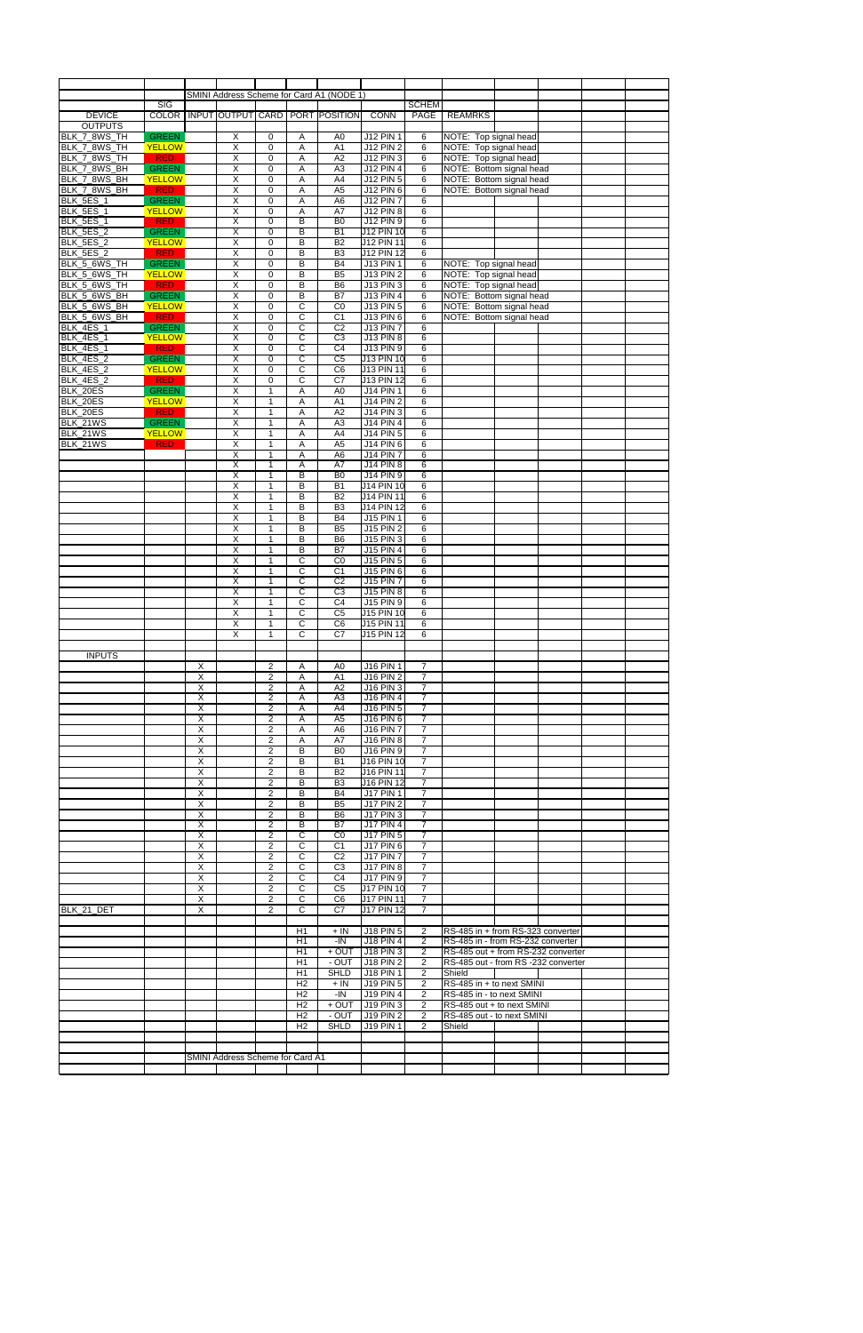|                  |                         |                         |                                  |                         |                       | SMINI Address Scheme for Card A1 (NODE 1) |                   |                |                                     |  |  |
|------------------|-------------------------|-------------------------|----------------------------------|-------------------------|-----------------------|-------------------------------------------|-------------------|----------------|-------------------------------------|--|--|
|                  | $\overline{\text{SIG}}$ |                         |                                  |                         |                       |                                           |                   | <b>SCHEM</b>   |                                     |  |  |
| <b>DEVICE</b>    |                         |                         |                                  |                         |                       | COLOR   INPUT OUTPUT CARD   PORT POSITION | <b>CONN</b>       | PAGE           | <b>REAMRKS</b>                      |  |  |
| <b>OUTPUTS</b>   |                         |                         |                                  |                         |                       |                                           |                   |                |                                     |  |  |
| BLK_7_8WS_TH     | <b>GREEN</b>            |                         | X                                | 0                       | Α                     | A <sub>0</sub>                            | J12 PIN 1         | 6              | NOTE: Top signal head               |  |  |
| BLK_7_8WS_TH     | <b>YELLOW</b>           |                         | $\overline{X}$                   | 0                       | Α                     | A1                                        | <b>J12 PIN 2</b>  | 6              | NOTE: Top signal head               |  |  |
| BLK_7_8WS_TH     | <b>RED</b>              |                         | $\overline{\mathsf{X}}$          | 0                       | Α                     | A2                                        | <b>J12 PIN 3</b>  | 6              | NOTE: Top signal head               |  |  |
| BLK_7_8WS_BH     | <b>GREEN</b>            |                         | $\overline{\mathsf{X}}$          | 0                       | Α                     | A <sub>3</sub>                            | <b>J12 PIN 4</b>  | 6              | NOTE: Bottom signal head            |  |  |
| BLK_7_8WS_BH     | <b>YELLOW</b>           |                         | X                                | $\mathbf 0$             | Α                     | A4                                        | <b>J12 PIN 5</b>  | 6              | NOTE: Bottom signal head            |  |  |
| BLK_7_8WS_BH     | <b>RED</b>              |                         | X                                | 0                       | Α                     | A <sub>5</sub>                            | <b>J12 PIN 6</b>  | 6              | NOTE: Bottom signal head            |  |  |
| BLK_5ES_1        | <b>GREEN</b>            |                         | $\overline{X}$                   | 0                       | Α                     | A <sub>6</sub>                            | <b>J12 PIN 7</b>  | 6              |                                     |  |  |
| BLK_5ES_1        | <b>YELLOW</b>           |                         | $\overline{X}$                   | $\mathbf 0$             | Α                     | A7                                        | <b>J12 PIN 8</b>  | 6              |                                     |  |  |
| BLK_5ES_1        | <b>RED</b>              |                         | $\overline{X}$                   | 0                       | B                     | B <sub>0</sub>                            | J12 PIN 9         | 6              |                                     |  |  |
| BLK_5ES_2        | <b>GREEN</b>            |                         | $\overline{X}$                   | $\mathbf 0$             | $\overline{B}$        | $\overline{B1}$                           | <b>J12 PIN 10</b> | 6              |                                     |  |  |
| BLK_5ES_2        | <b>YELLOW</b>           |                         | $\overline{X}$                   | 0                       | B                     | B2                                        | <b>J12 PIN 11</b> | 6              |                                     |  |  |
| BLK_5ES_2        | <b>RED</b>              |                         | $\overline{X}$                   | $\mathbf 0$             | B                     | B <sub>3</sub>                            | <b>J12 PIN 12</b> | 6              |                                     |  |  |
| BLK_5_6WS_TH     | <b>GREEN</b>            |                         | $\overline{X}$                   | $\mathbf 0$             | B                     | B4                                        | <b>J13 PIN 1</b>  | 6              | NOTE: Top signal head               |  |  |
| BLK_5_6WS_TH     | <b>YELLOW</b>           |                         | $\overline{X}$                   | $\mathbf 0$             | B                     | B <sub>5</sub>                            | <b>J13 PIN 2</b>  | 6              | NOTE: Top signal head               |  |  |
| BLK_5_6WS_TH     | <b>RED</b>              |                         | $\overline{\mathsf{x}}$          | 0                       | B                     | B <sub>6</sub>                            | <b>J13 PIN 3</b>  | 6              | NOTE: Top signal head               |  |  |
| BLK 5 6WS BH     | <b>GREEN</b>            |                         | $\overline{\mathsf{X}}$          | $\mathbf 0$             | B                     | <b>B7</b>                                 | <b>J13 PIN 4</b>  | 6              | NOTE: Bottom signal head            |  |  |
| BLK_5_6WS_BH     | <b>YELLOW</b>           |                         | $\overline{X}$                   | 0                       | C                     | CO                                        | <b>J13 PIN 5</b>  | 6              | NOTE: Bottom signal head            |  |  |
| BLK_5_6WS_BH     | <b>RED</b>              |                         | $\overline{\mathsf{X}}$          | $\mathbf 0$             | C                     | C <sub>1</sub>                            | J13 PIN 6         | 6              | NOTE: Bottom signal head            |  |  |
| BLK_4ES_1        | <b>GREEN</b>            |                         | $\overline{X}$                   | 0                       | С                     | C <sub>2</sub>                            | <b>J13 PIN 7</b>  | 6              |                                     |  |  |
| BLK_4ES_1        | <b>YELLOW</b>           |                         | $\overline{\mathsf{X}}$          | 0                       | $\overline{C}$        | C <sub>3</sub>                            | <b>J13 PIN 8</b>  | 6              |                                     |  |  |
| BLK_4ES_1        | <b>RED</b>              |                         | $\overline{\mathsf{x}}$          | 0                       | C                     | C <sub>4</sub>                            | J13 PIN 9         | 6              |                                     |  |  |
| <b>BLK_4ES_2</b> | <b>GREEN</b>            |                         | X                                | 0                       | C                     | C <sub>5</sub>                            | J13 PIN 10        | 6              |                                     |  |  |
| BLK_4ES_2        | <b>YELLOW</b>           |                         | $\overline{\mathsf{x}}$          | 0                       | $\overline{\text{c}}$ | C6                                        | <b>J13 PIN 11</b> | 6              |                                     |  |  |
| BLK_4ES_2        | <b>RED</b>              |                         | $\overline{\mathsf{x}}$          | 0                       | $\overline{C}$        | $\overline{C7}$                           | <b>J13 PIN 12</b> | 6              |                                     |  |  |
| BLK_20ES         | <b>GREEN</b>            |                         | $\overline{X}$                   | $\mathbf{1}$            | Α                     | A <sub>0</sub>                            | <b>J14 PIN 1</b>  | 6              |                                     |  |  |
| BLK_20ES         | <b>YELLOW</b>           |                         | $\overline{X}$                   | $\overline{1}$          | Α                     | $\overline{A1}$                           | <b>J14 PIN 2</b>  | 6              |                                     |  |  |
| BLK_20ES         | <b>RED</b>              |                         | X                                | $\mathbf{1}$            | Α                     | A2                                        | <b>J14 PIN 3</b>  | 6              |                                     |  |  |
| BLK_21WS         | <b>GREEN</b>            |                         | $\overline{\mathsf{X}}$          | $\mathbf{1}$            | Α                     | A <sub>3</sub>                            | <b>J14 PIN 4</b>  | 6              |                                     |  |  |
| BLK_21WS         | <b>YELLOW</b>           |                         | $\overline{\mathsf{X}}$          | $\mathbf{1}$            | Α                     | A4                                        | J14 PIN 5         | 6              |                                     |  |  |
| BLK_21WS         | <b>RED</b>              |                         | $\overline{X}$                   | $\mathbf{1}$            | Α                     | A <sub>5</sub>                            | <b>J14 PIN 6</b>  | 6              |                                     |  |  |
|                  |                         |                         | $\overline{X}$                   | $\mathbf{1}$            | Α                     | A <sub>6</sub>                            | <b>J14 PIN 7</b>  | 6              |                                     |  |  |
|                  |                         |                         | $\overline{X}$                   | $\mathbf{1}$            | Α                     | A7                                        | <b>J14 PIN 8</b>  | 6              |                                     |  |  |
|                  |                         |                         | $\overline{X}$                   | $\mathbf{1}$            | B                     | B <sub>0</sub>                            | <b>J14 PIN 9</b>  | 6              |                                     |  |  |
|                  |                         |                         | $\overline{\mathsf{x}}$          | $\mathbf{1}$            | B                     | $\overline{B1}$                           | <b>J14 PIN 10</b> | 6              |                                     |  |  |
|                  |                         |                         | $\overline{\mathsf{x}}$          | 1                       | B                     | B2                                        | J14 PIN 11        | 6              |                                     |  |  |
|                  |                         |                         | $\overline{\mathsf{x}}$          | $\mathbf{1}$            | B                     | B3                                        | <b>J14 PIN 12</b> | 6              |                                     |  |  |
|                  |                         |                         | $\overline{\mathsf{x}}$          | $\mathbf{1}$            | B                     | <b>B4</b>                                 | J15 PIN 1         | 6              |                                     |  |  |
|                  |                         |                         | $\overline{\mathsf{x}}$          | $\mathbf{1}$            | B                     | B <sub>5</sub>                            | <b>J15 PIN 2</b>  | 6              |                                     |  |  |
|                  |                         |                         | $\overline{\mathsf{x}}$          | $\overline{1}$          | $\overline{B}$        | B <sub>6</sub>                            | <b>J15 PIN 3</b>  | 6              |                                     |  |  |
|                  |                         |                         | $\overline{X}$                   | $\mathbf{1}$            | B                     | <b>B7</b>                                 | <b>J15 PIN 4</b>  | 6              |                                     |  |  |
|                  |                         |                         | $\overline{X}$                   | $\mathbf{1}$            | C                     | CO                                        | J15 PIN 5         | 6              |                                     |  |  |
|                  |                         |                         | X                                | $\mathbf{1}$            | С                     | C1                                        | J15 PIN 6         | 6              |                                     |  |  |
|                  |                         |                         | $\overline{\mathsf{X}}$          | $\mathbf{1}$            | C                     | C <sub>2</sub>                            | <b>J15 PIN 7</b>  | 6              |                                     |  |  |
|                  |                         |                         | $\overline{\mathsf{x}}$          | 1                       | $\mathbf C$           | C <sub>3</sub>                            | J15 PIN 8         | 6              |                                     |  |  |
|                  |                         |                         | X                                | $\mathbf{1}$            | C                     | C <sub>4</sub>                            | J15 PIN 9         | 6              |                                     |  |  |
|                  |                         |                         | X                                | $\mathbf{1}$            | C                     | C <sub>5</sub>                            | J15 PIN 10        | 6              |                                     |  |  |
|                  |                         |                         | $\overline{\mathsf{x}}$          | $\mathbf{1}$            | C                     | C <sub>6</sub>                            | J15 PIN 11        | 6              |                                     |  |  |
|                  |                         |                         | $\overline{\mathsf{x}}$          | $\mathbf{1}$            | С                     | C7                                        | J15 PIN 12        | 6              |                                     |  |  |
|                  |                         |                         |                                  |                         |                       |                                           |                   |                |                                     |  |  |
| <b>INPUTS</b>    |                         |                         |                                  |                         |                       |                                           |                   |                |                                     |  |  |
|                  |                         | X                       |                                  | $\overline{c}$          | Α                     | A0                                        | J16 PIN 1         | $\overline{7}$ |                                     |  |  |
|                  |                         | $\overline{\mathsf{x}}$ |                                  | $\overline{\mathbf{c}}$ | A                     | A1                                        | <b>J16 PIN 2</b>  | $\overline{7}$ |                                     |  |  |
|                  |                         | Χ                       |                                  | $\overline{\mathbf{c}}$ | Α                     | A2                                        | J16 PIN 3         | $\overline{7}$ |                                     |  |  |
|                  |                         | X                       |                                  | $\overline{2}$          | Α                     | A3                                        | J16 PIN 4         | $\overline{7}$ |                                     |  |  |
|                  |                         | $\sf X$                 |                                  | $\overline{2}$          | Α                     | A4                                        | J16 PIN 5         | $\overline{7}$ |                                     |  |  |
|                  |                         | Χ                       |                                  | 2                       | Α                     | A <sub>5</sub>                            | J16 PIN 6         | $\overline{7}$ |                                     |  |  |
|                  |                         | $\overline{X}$          |                                  | $\mathbf{2}$            | Α                     | A <sub>6</sub>                            | <b>J16 PIN 7</b>  | $\overline{7}$ |                                     |  |  |
|                  |                         | Χ                       |                                  | $\overline{2}$          | Α                     | A7                                        | J16 PIN 8         | $\overline{7}$ |                                     |  |  |
|                  |                         | Χ                       |                                  | $\overline{\mathbf{c}}$ | в                     | B <sub>0</sub>                            | J16 PIN 9         | 7              |                                     |  |  |
|                  |                         | $\overline{\mathsf{x}}$ |                                  | $\overline{2}$          | $\overline{B}$        | <b>B1</b>                                 | <b>J16 PIN 10</b> | $\overline{7}$ |                                     |  |  |
|                  |                         | $\overline{\mathsf{x}}$ |                                  | $\overline{\mathbf{c}}$ | B                     | <b>B2</b>                                 | <b>J16 PIN 11</b> | $\overline{7}$ |                                     |  |  |
|                  |                         | Χ                       |                                  | $\overline{2}$          | B                     | B <sub>3</sub>                            | J16 PIN 12        | 7              |                                     |  |  |
|                  |                         | Χ                       |                                  | $\mathbf{2}$            | B                     | <b>B4</b>                                 | J17 PIN 1         | $\overline{7}$ |                                     |  |  |
|                  |                         | Χ                       |                                  | $\overline{\mathbf{c}}$ | B                     | B <sub>5</sub>                            | <b>J17 PIN 2</b>  | $\overline{7}$ |                                     |  |  |
|                  |                         | $\overline{\mathsf{x}}$ |                                  | $\overline{2}$          | B                     | B <sub>6</sub>                            | <b>J17 PIN 3</b>  | $\overline{7}$ |                                     |  |  |
|                  |                         | X                       |                                  | $\overline{2}$          | B                     | <b>B7</b>                                 | <b>J17 PIN 4</b>  | $\overline{7}$ |                                     |  |  |
|                  |                         | X                       |                                  | 2                       | C                     | C <sub>0</sub>                            | J17 PIN 5         | $\overline{7}$ |                                     |  |  |
|                  |                         | $\overline{\mathsf{x}}$ |                                  | $\overline{2}$          | C                     | C <sub>1</sub>                            | <b>J17 PIN 6</b>  | $\overline{7}$ |                                     |  |  |
|                  |                         | Χ                       |                                  | $\overline{\mathbf{c}}$ | С                     | C <sub>2</sub>                            | <b>J17 PIN 7</b>  | $\overline{7}$ |                                     |  |  |
|                  |                         | X                       |                                  | $\overline{2}$          | $\mathbf C$           | C <sub>3</sub>                            | <b>J17 PIN 8</b>  | 7              |                                     |  |  |
|                  |                         | X                       |                                  | $\overline{2}$          | C                     | C <sub>4</sub>                            | <b>J17 PIN 9</b>  | $\overline{7}$ |                                     |  |  |
|                  |                         | X                       |                                  | $\overline{2}$          | C                     | C <sub>5</sub>                            | <b>J17 PIN 10</b> | 7              |                                     |  |  |
|                  |                         | Χ                       |                                  | $\overline{\mathbf{c}}$ | $\overline{C}$        | C <sub>6</sub>                            | <b>J17 PIN 11</b> | $\overline{7}$ |                                     |  |  |
| BLK 21 DET       |                         | $\overline{\mathsf{x}}$ |                                  | $\overline{2}$          | $\overline{c}$        | C7                                        | <b>J17 PIN 12</b> | $\overline{7}$ |                                     |  |  |
|                  |                         |                         |                                  |                         |                       |                                           |                   |                |                                     |  |  |
|                  |                         |                         |                                  |                         | H1                    | $+$ IN                                    | <b>J18 PIN 5</b>  | $\overline{2}$ | RS-485 in + from RS-323 converter   |  |  |
|                  |                         |                         |                                  |                         | H1                    | $-IN$                                     | <b>J18 PIN 4</b>  | $\overline{2}$ | RS-485 in - from RS-232 converter   |  |  |
|                  |                         |                         |                                  |                         | H1                    | $+$ OUT                                   | J18 PIN 3         | 2              | RS-485 out + from RS-232 converter  |  |  |
|                  |                         |                         |                                  |                         | H1                    | - OUT                                     | <b>J18 PIN 2</b>  | $\overline{2}$ | RS-485 out - from RS -232 converter |  |  |
|                  |                         |                         |                                  |                         | H1                    | <b>SHLD</b>                               | J18 PIN 1         | 2              | Shield                              |  |  |
|                  |                         |                         |                                  |                         | H2                    | $+$ IN                                    | <b>J19 PIN 5</b>  | 2              | RS-485 in + to next SMINI           |  |  |
|                  |                         |                         |                                  |                         | H <sub>2</sub>        | $-IN$                                     | J19 PIN 4         | $\overline{2}$ | RS-485 in - to next SMINI           |  |  |
|                  |                         |                         |                                  |                         | H <sub>2</sub>        | $+$ OUT                                   | J19 PIN 3         | 2              | RS-485 out + to next SMINI          |  |  |
|                  |                         |                         |                                  |                         | H <sub>2</sub>        | - OUT                                     | J19 PIN 2         | $\overline{2}$ | RS-485 out - to next SMINI          |  |  |
|                  |                         |                         |                                  |                         | H2                    | <b>SHLD</b>                               | J19 PIN 1         | $\overline{2}$ | Shield                              |  |  |
|                  |                         |                         |                                  |                         |                       |                                           |                   |                |                                     |  |  |
|                  |                         |                         |                                  |                         |                       |                                           |                   |                |                                     |  |  |
|                  |                         |                         | SMINI Address Scheme for Card A1 |                         |                       |                                           |                   |                |                                     |  |  |
|                  |                         |                         |                                  |                         |                       |                                           |                   |                |                                     |  |  |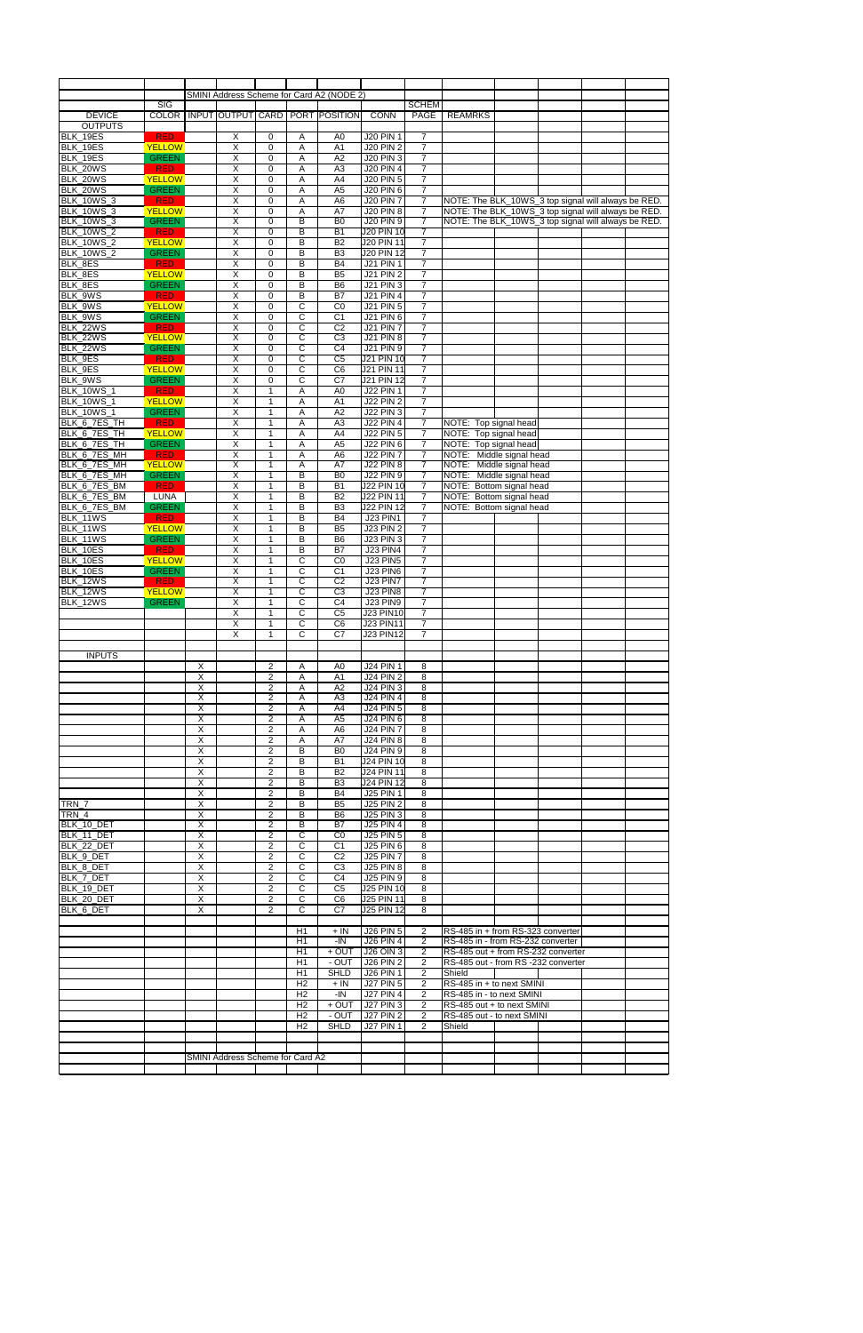|                      |                               |                           |                                                        |                              |                         | SMINI Address Scheme for Card A2 (NODE 2) |                                    |                                  |                                                     |  |  |
|----------------------|-------------------------------|---------------------------|--------------------------------------------------------|------------------------------|-------------------------|-------------------------------------------|------------------------------------|----------------------------------|-----------------------------------------------------|--|--|
|                      | $\overline{\text{SIG}}$       |                           |                                                        |                              |                         |                                           |                                    | <b>SCHEM</b>                     |                                                     |  |  |
| <b>DEVICE</b>        | <b>COLOR</b>                  |                           |                                                        |                              |                         | INPUT OUTPUT CARD PORT POSITION           | <b>CONN</b>                        | <b>PAGE</b>                      | <b>REAMRKS</b>                                      |  |  |
| <b>OUTPUTS</b>       |                               |                           |                                                        |                              |                         |                                           |                                    |                                  |                                                     |  |  |
| BLK 19ES             | <b>RED</b>                    |                           | X                                                      | 0                            | Α                       | A0                                        | <b>J20 PIN 1</b>                   | $\overline{7}$                   |                                                     |  |  |
| BLK_19ES             | <b>YELLOW</b>                 |                           | $\boldsymbol{\mathsf{X}}$                              | 0                            | Α                       | A1                                        | <b>J20 PIN 2</b>                   | $\overline{7}$                   |                                                     |  |  |
| BLK_19ES             | <b>GREEN</b>                  |                           | $\overline{\mathsf{X}}$                                | 0                            | Α                       | A2                                        | <b>J20 PIN 3</b>                   | $\overline{7}$                   |                                                     |  |  |
| BLK_20WS             | <b>RED</b>                    |                           | $\boldsymbol{\mathsf{X}}$                              | 0                            | Α                       | A <sub>3</sub>                            | <b>J20 PIN 4</b>                   | $\overline{7}$                   |                                                     |  |  |
| BLK_20WS             | <b>YELLOW</b>                 |                           | $\overline{\mathsf{x}}$                                | 0                            | Α                       | A4                                        | <b>J20 PIN 5</b>                   | $\overline{7}$                   |                                                     |  |  |
| BLK_20WS             | <b>GREEN</b>                  |                           | Χ                                                      | 0                            | Α                       | A <sub>5</sub>                            | <b>J20 PIN 6</b>                   | $\boldsymbol{7}$                 |                                                     |  |  |
| <b>BLK_10WS_3</b>    | <b>RED</b>                    |                           | $\overline{X}$                                         | 0                            | А                       | A <sub>6</sub>                            | <b>J20 PIN 7</b>                   | $\overline{7}$                   | NOTE: The BLK_10WS_3 top signal will always be RED. |  |  |
| <b>BLK_10WS_3</b>    | <b>YELLOW</b>                 |                           | $\overline{X}$                                         | 0                            | Α                       | A7                                        | <b>J20 PIN 8</b>                   | $\overline{7}$                   | NOTE: The BLK_10WS_3 top signal will always be RED. |  |  |
| <b>BLK_10WS_3</b>    | <b>GREEN</b>                  |                           | $\overline{\mathsf{x}}$                                | 0                            | B                       | B <sub>0</sub>                            | <b>J20 PIN 9</b>                   | $\overline{7}$                   | NOTE: The BLK_10WS_3 top signal will always be RED. |  |  |
| <b>BLK_10WS_2</b>    | <b>RED</b>                    |                           | $\overline{\mathsf{x}}$                                | $\overline{0}$               | B                       | $\overline{B1}$                           | <b>J20 PIN 10</b>                  | $\overline{7}$                   |                                                     |  |  |
| <b>BLK_10WS_2</b>    | <b>YELLOW</b>                 |                           | $\overline{X}$                                         | 0                            | B                       | B2                                        | <b>J20 PIN 11</b>                  | $\boldsymbol{7}$                 |                                                     |  |  |
| <b>BLK_10WS_2</b>    | <b>GREEN</b>                  |                           | $\overline{X}$                                         | 0                            | B                       | B <sub>3</sub>                            | <b>J20 PIN 12</b>                  | $\overline{7}$                   |                                                     |  |  |
| BLK_8ES              | <b>RED</b>                    |                           | $\overline{\mathsf{x}}$                                | 0                            | B                       | B4                                        | <b>J21 PIN 1</b>                   | $\overline{7}$                   |                                                     |  |  |
| BLK_8ES              | <b>YELLOW</b>                 |                           | $\overline{X}$                                         | 0                            | B                       | B <sub>5</sub>                            | <b>J21 PIN 2</b>                   | $\boldsymbol{7}$                 |                                                     |  |  |
| BLK_8ES              | <b>GREEN</b>                  |                           | $\overline{\mathsf{X}}$                                | 0                            | B                       | <b>B6</b>                                 | <b>J21 PIN 3</b>                   | $\overline{7}$                   |                                                     |  |  |
| BLK_9WS              | <b>RED</b>                    |                           | $\overline{\mathsf{X}}$                                | 0                            | B                       | <b>B7</b>                                 | <b>J21 PIN 4</b>                   | $\overline{7}$                   |                                                     |  |  |
| BLK_9WS              | <b>YELLOW</b>                 |                           | $\boldsymbol{\mathsf{X}}$                              | 0                            | C                       | CO                                        | <b>J21 PIN 5</b>                   | $\overline{7}$                   |                                                     |  |  |
| BLK_9WS              | <b>GREEN</b>                  |                           | $\overline{\mathsf{x}}$                                | 0                            | C                       | C <sub>1</sub>                            | J21 PIN 6                          | $\overline{7}$                   |                                                     |  |  |
| <b>BLK_22WS</b>      | <b>RED</b>                    |                           | $\overline{X}$                                         | 0                            | С                       | C <sub>2</sub>                            | <b>J21 PIN 7</b>                   | $\boldsymbol{7}$                 |                                                     |  |  |
| <b>BLK_22WS</b>      | <b>YELLOW</b>                 |                           | $\overline{\mathsf{X}}$                                | 0                            | C                       | C <sub>3</sub>                            | <b>J21 PIN 8</b>                   | $\overline{7}$                   |                                                     |  |  |
| BLK_22WS             | <b>GREEN</b>                  |                           | X                                                      | 0                            | C                       | C <sub>4</sub>                            | J21 PIN 9                          | $\overline{7}$                   |                                                     |  |  |
| BLK_9ES              | <b>RED</b>                    |                           | $\overline{X}$                                         | 0                            | C                       | $\overline{C5}$                           | <b>J21 PIN 10</b>                  | $\overline{7}$                   |                                                     |  |  |
| BLK_9ES              | <b>YELLOW</b>                 |                           | $\overline{X}$                                         | 0                            | $\overline{\mathrm{C}}$ | C6                                        | <b>J21 PIN 11</b>                  | $\overline{7}$                   |                                                     |  |  |
| BLK_9WS              | <b>GREEN</b>                  |                           | $\overline{\mathsf{x}}$                                | 0                            | C                       | $\overline{C7}$                           | <b>J21 PIN 12</b>                  | $\overline{7}$                   |                                                     |  |  |
| <b>BLK_10WS_1</b>    | <b>RED</b>                    |                           | $\overline{\mathsf{x}}$                                | 1                            | Α                       | A <sub>0</sub>                            | <b>J22 PIN 1</b>                   | $\overline{7}$                   |                                                     |  |  |
| <b>BLK_10WS_1</b>    | <b>YELLOW</b>                 |                           | $\overline{X}$                                         | $\overline{1}$               | Α                       | $\overline{A1}$                           | <b>J22 PIN 2</b>                   | $\overline{7}$                   |                                                     |  |  |
| BLK_10WS_1           | <b>GREEN</b>                  |                           | X                                                      | 1                            | Α                       | A2                                        | <b>J22 PIN 3</b>                   | $\boldsymbol{7}$                 |                                                     |  |  |
| BLK_6_7ES_TH         | <b>RED</b>                    |                           | $\overline{X}$                                         | $\mathbf{1}$                 | А                       | A <sub>3</sub>                            | <b>J22 PIN 4</b>                   | $\overline{7}$                   | NOTE: Top signal head                               |  |  |
| BLK_6_7ES_TH         | <b>YELLOW</b>                 |                           | $\boldsymbol{\mathsf{X}}$                              | $\mathbf{1}$                 | Α                       | A4                                        | <b>J22 PIN 5</b>                   | $\overline{7}$                   | NOTE: Top signal head                               |  |  |
| BLK_6_7ES_TH         | <b>GREEN</b>                  |                           | $\overline{X}$                                         | $\mathbf{1}$                 | Α                       | A <sub>5</sub>                            | <b>J22 PIN 6</b>                   | $\overline{7}$                   | NOTE: Top signal head                               |  |  |
| BLK_6_7ES_MH         | <b>RED</b>                    |                           | $\overline{X}$                                         | $\mathbf{1}$                 | Α                       | A <sub>6</sub>                            | <b>J22 PIN 7</b>                   | $\overline{7}$                   | NOTE: Middle signal head                            |  |  |
| BLK_6_7ES_MH         | <b>YELLOW</b>                 |                           | $\overline{\mathsf{X}}$                                | $\mathbf{1}$                 | A                       | A7                                        | <b>J22 PIN 8</b>                   | $\overline{7}$                   | NOTE: Middle signal head                            |  |  |
| BLK_6_7ES_MH         | <b>GREEN</b>                  |                           | $\overline{\mathsf{x}}$                                | $\mathbf{1}$                 | B                       | B <sub>0</sub>                            | <b>J22 PIN 9</b>                   | $\overline{7}$                   | NOTE: Middle signal head                            |  |  |
| BLK_6_7ES_BM         | RED                           |                           | $\overline{\mathsf{x}}$                                | $\mathbf{1}$                 | B                       | $\overline{B1}$                           | <b>J22 PIN 10</b>                  | $\overline{7}$                   | NOTE: Bottom signal head                            |  |  |
| BLK_6_7ES_BM         | LUNA                          |                           | Χ                                                      | 1                            | B                       | B2                                        | <b>J22 PIN 11</b>                  | $\overline{7}$                   | NOTE: Bottom signal head                            |  |  |
| BLK_6_7ES_BM         | <b>GREEN</b>                  |                           | $\overline{\mathsf{x}}$                                | 1                            | B                       | B3                                        | <b>J22 PIN 12</b>                  | $\overline{7}$                   | NOTE: Bottom signal head                            |  |  |
| BLK 11WS             | <b>RED</b>                    |                           | $\overline{\mathsf{x}}$                                | $\mathbf{1}$                 | B                       | <b>B4</b>                                 | <b>J23 PIN1</b>                    | $\overline{7}$                   |                                                     |  |  |
| BLK_11WS             | <b>YELLOW</b>                 |                           | $\overline{X}$                                         | $\mathbf{1}$                 | B                       | B <sub>5</sub>                            | <b>J23 PIN 2</b>                   | $\overline{7}$                   |                                                     |  |  |
| BLK_11WS             | <b>GREEN</b>                  |                           | $\overline{\mathsf{x}}$                                | $\mathbf{1}$                 | B                       | <b>B6</b>                                 | <b>J23 PIN 3</b>                   | $\overline{7}$                   |                                                     |  |  |
| BLK_10ES             | <b>RED</b><br><b>YELLOW</b>   |                           | $\overline{X}$<br>$\times$                             | $\mathbf{1}$                 | B                       | $\overline{B7}$                           | <b>J23 PIN4</b>                    | $\boldsymbol{7}$                 |                                                     |  |  |
| BLK_10ES             |                               |                           |                                                        | $\mathbf{1}$                 | C                       | CO                                        | <b>J23 PIN5</b>                    | $\overline{7}$                   |                                                     |  |  |
| BLK_10ES             | <b>GREEN</b>                  |                           | Χ                                                      | $\mathbf 1$                  | C                       | C1                                        | <b>J23 PIN6</b>                    | 7                                |                                                     |  |  |
| BLK 12WS             | <b>RED</b>                    |                           | $\boldsymbol{\mathsf{X}}$                              | 1                            | C                       | C <sub>2</sub>                            | <b>J23 PIN7</b>                    | $\overline{7}$                   |                                                     |  |  |
| BLK_12WS<br>BLK_12WS | <b>YELLOW</b><br><b>GREEN</b> |                           | $\boldsymbol{\mathsf{X}}$<br>$\boldsymbol{\mathsf{X}}$ | $\mathbf{1}$<br>$\mathbf{1}$ | C<br>C                  | C <sub>3</sub><br>C <sub>4</sub>          | <b>J23 PIN8</b><br><b>J23 PIN9</b> | $\overline{7}$<br>$\overline{7}$ |                                                     |  |  |
|                      |                               |                           | X                                                      | $\mathbf{1}$                 | C                       | C <sub>5</sub>                            | <b>J23 PIN10</b>                   | $\overline{7}$                   |                                                     |  |  |
|                      |                               |                           | $\overline{\mathsf{x}}$                                | $\mathbf{1}$                 | $\overline{C}$          | $\overline{C6}$                           | <b>J23 PIN11</b>                   | $\overline{7}$                   |                                                     |  |  |
|                      |                               |                           | $\overline{\mathsf{x}}$                                | 1                            | C                       | C7                                        | <b>J23 PIN12</b>                   | $\overline{7}$                   |                                                     |  |  |
|                      |                               |                           |                                                        |                              |                         |                                           |                                    |                                  |                                                     |  |  |
| <b>INPUTS</b>        |                               |                           |                                                        |                              |                         |                                           |                                    |                                  |                                                     |  |  |
|                      |                               | X                         |                                                        | 2                            | Α                       | A0                                        | J24 PIN 1                          | 8                                |                                                     |  |  |
|                      |                               | $\overline{\mathsf{x}}$   |                                                        | $\overline{c}$               | Α                       | A <sub>1</sub>                            | <b>J24 PIN 2</b>                   | 8                                |                                                     |  |  |
|                      |                               | $\overline{X}$            |                                                        | $\overline{c}$               | Α                       | A2                                        | <b>J24 PIN 3</b>                   | 8                                |                                                     |  |  |
|                      |                               | X                         |                                                        | 2                            | Α                       | A3                                        | J24 PIN 4                          | 8                                |                                                     |  |  |
|                      |                               | $\overline{X}$            |                                                        | $\overline{c}$               | Α                       | A4                                        | J24 PIN 5                          | 8                                |                                                     |  |  |
|                      |                               | X                         |                                                        | $\overline{c}$               | Α                       | A <sub>5</sub>                            | J24 PIN 6                          | 8                                |                                                     |  |  |
|                      |                               | $\overline{X}$            |                                                        | $\overline{2}$               | Α                       | A6                                        | <b>J24 PIN 7</b>                   | 8                                |                                                     |  |  |
|                      |                               | $\overline{\mathsf{x}}$   |                                                        | 2                            | Α                       | A7                                        | <b>J24 PIN 8</b>                   | 8                                |                                                     |  |  |
|                      |                               | $\overline{\mathsf{x}}$   |                                                        | $\overline{\mathbf{c}}$      | B                       | B <sub>0</sub>                            | J24 PIN 9                          | 8                                |                                                     |  |  |
|                      |                               | $\overline{\mathsf{x}}$   |                                                        | $\overline{2}$               | B                       | <b>B1</b>                                 | <b>J24 PIN 10</b>                  | 8                                |                                                     |  |  |
|                      |                               | $\overline{\mathsf{x}}$   |                                                        | $\overline{2}$               | B                       | <b>B2</b>                                 | <b>J24 PIN 11</b>                  | 8                                |                                                     |  |  |
|                      |                               | X                         |                                                        | $\overline{2}$               | B                       | B <sub>3</sub>                            | <b>J24 PIN 12</b>                  | 8                                |                                                     |  |  |
|                      |                               | $\overline{\mathsf{x}}$   |                                                        | $\overline{\mathbf{c}}$      | B                       | <b>B4</b>                                 | J25 PIN 1                          | 8                                |                                                     |  |  |
| TRN 7                |                               | X                         |                                                        | $\overline{\mathbf{c}}$      | B                       | B <sub>5</sub>                            | <b>J25 PIN 2</b>                   | 8                                |                                                     |  |  |
| TRN 4                |                               | $\overline{X}$            |                                                        | $\overline{2}$               | B                       | B6                                        | <b>J25 PIN 3</b>                   | 8                                |                                                     |  |  |
| BLK_10_DET           |                               | X                         |                                                        | $\overline{2}$               | B                       | <b>B7</b>                                 | <b>J25 PIN 4</b>                   | 8                                |                                                     |  |  |
| BLK 11 DET           |                               | $\boldsymbol{\mathsf{X}}$ |                                                        | 2                            | C                       | CO                                        | J25 PIN 5                          | 8                                |                                                     |  |  |
| BLK_22_DET           |                               | $\overline{\mathsf{X}}$   |                                                        | $\overline{2}$               | $\overline{C}$          | C <sub>1</sub>                            | <b>J25 PIN 6</b>                   | 8                                |                                                     |  |  |
| BLK_9_DET            |                               | Χ                         |                                                        | $\overline{c}$               | С                       | C <sub>2</sub>                            | <b>J25 PIN 7</b>                   | 8                                |                                                     |  |  |
| BLK_8_DET            |                               | $\overline{X}$            |                                                        | $\overline{2}$               | $\mathsf{C}$            | C <sub>3</sub>                            | <b>J25 PIN 8</b>                   | 8                                |                                                     |  |  |
| BLK_7_DET            |                               | X                         |                                                        | $\overline{2}$               | C                       | C <sub>4</sub>                            | J25 PIN 9                          | 8                                |                                                     |  |  |
| BLK_19_DET           |                               | Χ                         |                                                        | $\overline{\mathbf{c}}$      | C                       | C <sub>5</sub>                            | <b>J25 PIN 10</b>                  | 8                                |                                                     |  |  |
| BLK_20_DET           |                               | X                         |                                                        | $\overline{c}$               | C                       | C <sub>6</sub>                            | <b>J25 PIN 11</b>                  | 8                                |                                                     |  |  |
| BLK_6_DET            |                               | $\overline{\mathsf{x}}$   |                                                        | $\overline{2}$               | $\overline{c}$          | $\overline{C7}$                           | <b>J25 PIN 12</b>                  | 8                                |                                                     |  |  |
|                      |                               |                           |                                                        |                              |                         |                                           |                                    |                                  |                                                     |  |  |
|                      |                               |                           |                                                        |                              | H1                      | $+$ IN                                    | <b>J26 PIN 5</b>                   | 2                                | RS-485 in + from RS-323 converter                   |  |  |
|                      |                               |                           |                                                        |                              | H1                      | $-IN$                                     | <b>J26 PIN 4</b>                   | $\overline{2}$                   | RS-485 in - from RS-232 converter                   |  |  |
|                      |                               |                           |                                                        |                              | H1                      | + OUT                                     | <b>J26 OIN 3</b>                   | $\overline{2}$                   | RS-485 out + from RS-232 converter                  |  |  |
|                      |                               |                           |                                                        |                              | H1                      | - OUT                                     | <b>J26 PIN 2</b>                   | $\overline{2}$                   | RS-485 out - from RS -232 converter                 |  |  |
|                      |                               |                           |                                                        |                              | H1                      | SHLD                                      | J26 PIN 1                          | $\overline{2}$                   | Shield                                              |  |  |
|                      |                               |                           |                                                        |                              | H <sub>2</sub>          | $+$ IN                                    | <b>J27 PIN 5</b>                   | $\overline{2}$                   | RS-485 in + to next SMINI                           |  |  |
|                      |                               |                           |                                                        |                              | H <sub>2</sub>          | $-IN$                                     | <b>J27 PIN 4</b>                   | $\overline{2}$                   | RS-485 in - to next SMINI                           |  |  |
|                      |                               |                           |                                                        |                              | H <sub>2</sub>          | $+$ OUT                                   | <b>J27 PIN 3</b>                   | $\overline{2}$                   | RS-485 out + to next SMINI                          |  |  |
|                      |                               |                           |                                                        |                              | H <sub>2</sub>          | - OUT                                     | <b>J27 PIN 2</b>                   | $\overline{2}$                   | RS-485 out - to next SMINI                          |  |  |
|                      |                               |                           |                                                        |                              | H <sub>2</sub>          | SHLD                                      | J27 PIN 1                          | $\overline{2}$                   | Shield                                              |  |  |
|                      |                               |                           |                                                        |                              |                         |                                           |                                    |                                  |                                                     |  |  |
|                      |                               |                           |                                                        |                              |                         |                                           |                                    |                                  |                                                     |  |  |
|                      |                               |                           | SMINI Address Scheme for Card A2                       |                              |                         |                                           |                                    |                                  |                                                     |  |  |
|                      |                               |                           |                                                        |                              |                         |                                           |                                    |                                  |                                                     |  |  |